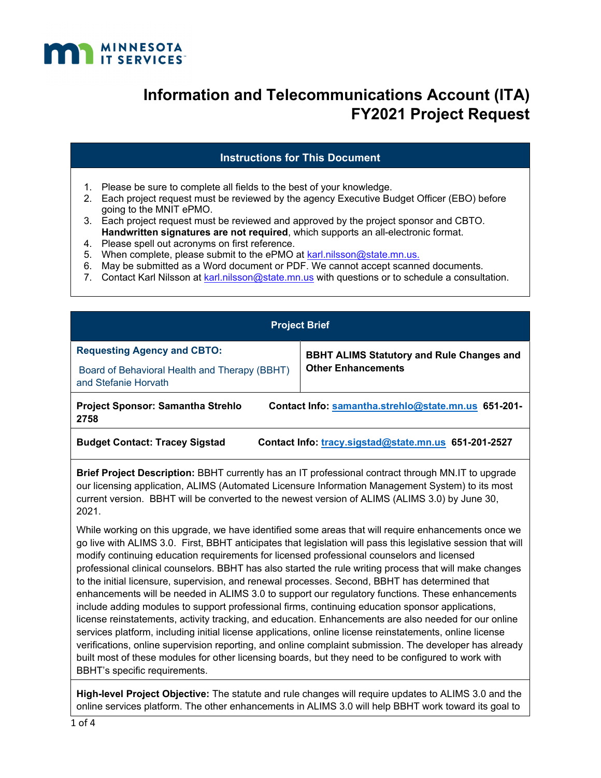

### **Instructions for This Document**

- 1. Please be sure to complete all fields to the best of your knowledge.
- 2. Each project request must be reviewed by the agency Executive Budget Officer (EBO) before going to the MNIT ePMO.
- 3. Each project request must be reviewed and approved by the project sponsor and CBTO. **Handwritten signatures are not required**, which supports an all-electronic format.
- 4. Please spell out acronyms on first reference.
- 5. When complete, please submit to the ePMO at karl.nilsson@state.mn.us.
- 6. May be submitted as a Word document or PDF. We cannot accept scanned documents.
- 7. Contact Karl Nilsson at karl.nilsson@state.mn.us with questions or to schedule a consultation.

| <b>Project Brief</b>                                                                                      |                                                  |  |  |
|-----------------------------------------------------------------------------------------------------------|--------------------------------------------------|--|--|
| <b>Requesting Agency and CBTO:</b>                                                                        | <b>BBHT ALIMS Statutory and Rule Changes and</b> |  |  |
| Board of Behavioral Health and Therapy (BBHT)<br>and Stefanie Horvath                                     | <b>Other Enhancements</b>                        |  |  |
| Contact Info: samantha.strehlo@state.mn.us 651-201-<br><b>Project Sponsor: Samantha Strehlo</b><br>2758   |                                                  |  |  |
| <b>Budget Contact: Tracey Sigstad</b><br>Contact Info: tracy.sigstad@state.mn.us 651-201-2527             |                                                  |  |  |
| <b>Duisf Duaiset Departution:</b> DDUT auxembly has an IT professional contrast through MM IT to unarcode |                                                  |  |  |

**Brief Project Description:** BBHT currently has an IT professional contract through MN.IT to upgrade our licensing application, ALIMS (Automated Licensure Information Management System) to its most current version. BBHT will be converted to the newest version of ALIMS (ALIMS 3.0) by June 30, 2021.

While working on this upgrade, we have identified some areas that will require enhancements once we go live with ALIMS 3.0. First, BBHT anticipates that legislation will pass this legislative session that will modify continuing education requirements for licensed professional counselors and licensed professional clinical counselors. BBHT has also started the rule writing process that will make changes to the initial licensure, supervision, and renewal processes. Second, BBHT has determined that enhancements will be needed in ALIMS 3.0 to support our regulatory functions. These enhancements include adding modules to support professional firms, continuing education sponsor applications, license reinstatements, activity tracking, and education. Enhancements are also needed for our online services platform, including initial license applications, online license reinstatements, online license verifications, online supervision reporting, and online complaint submission. The developer has already built most of these modules for other licensing boards, but they need to be configured to work with BBHT's specific requirements.

**High-level Project Objective:** The statute and rule changes will require updates to ALIMS 3.0 and the online services platform. The other enhancements in ALIMS 3.0 will help BBHT work toward its goal to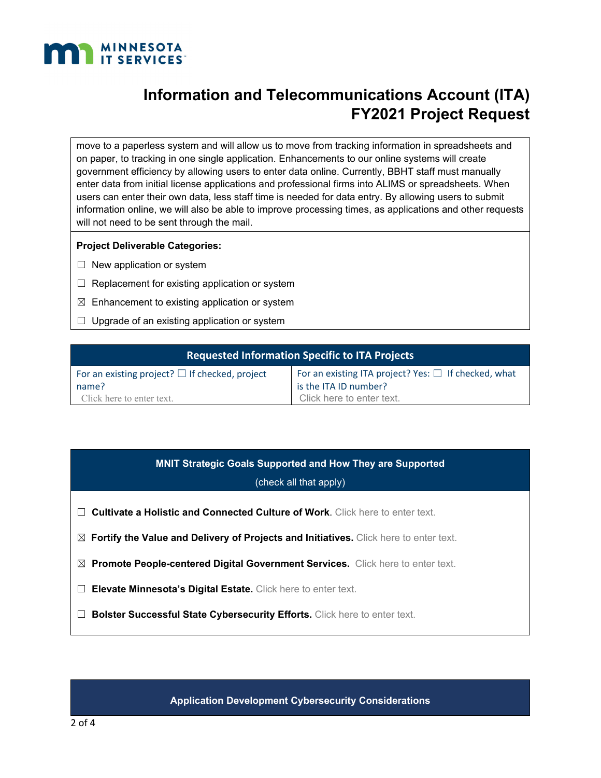

move to a paperless system and will allow us to move from tracking information in spreadsheets and on paper, to tracking in one single application. Enhancements to our online systems will create government efficiency by allowing users to enter data online. Currently, BBHT staff must manually enter data from initial license applications and professional firms into ALIMS or spreadsheets. When users can enter their own data, less staff time is needed for data entry. By allowing users to submit information online, we will also be able to improve processing times, as applications and other requests will not need to be sent through the mail.

#### **Project Deliverable Categories:**

- $\Box$  New application or system
- $\Box$  Replacement for existing application or system
- $\boxtimes$  Enhancement to existing application or system
- $\Box$  Upgrade of an existing application or system

| <b>Requested Information Specific to ITA Projects</b> |                                                           |  |
|-------------------------------------------------------|-----------------------------------------------------------|--|
| For an existing project? $\Box$ If checked, project   | For an existing ITA project? Yes: $\Box$ If checked, what |  |
| name?                                                 | is the ITA ID number?                                     |  |
| Click here to enter text.                             | Click here to enter text.                                 |  |

# **MNIT Strategic Goals Supported and How They are Supported**

### (check all that apply)

- ☐ **Cultivate a Holistic and Connected Culture of Work**. Click here to enter text.
- ☒ **Fortify the Value and Delivery of Projects and Initiatives.** Click here to enter text.
- ☒ **Promote People-centered Digital Government Services.** Click here to enter text.
- □ Elevate Minnesota's Digital Estate. Click here to enter text.
- □ **Bolster Successful State Cybersecurity Efforts.** Click here to enter text.

**Application Development Cybersecurity Considerations**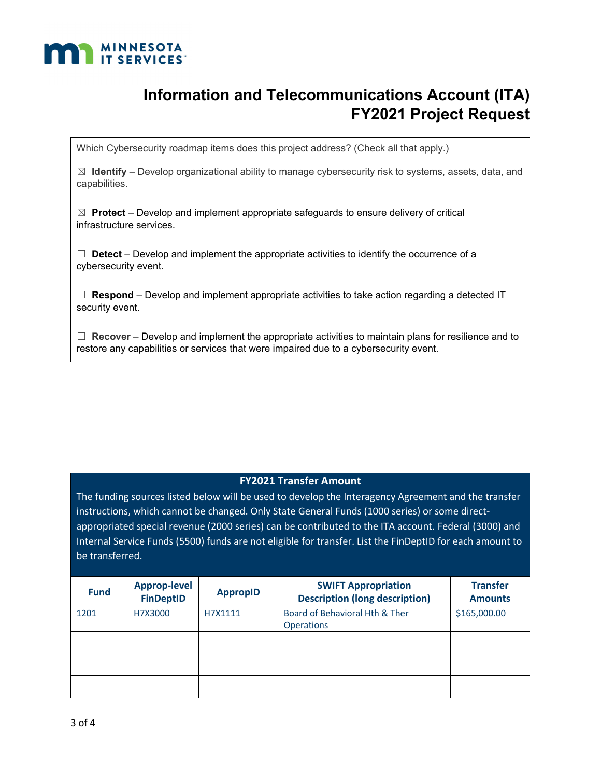

Which Cybersecurity roadmap items does this project address? (Check all that apply.)

☒ **Identify** – Develop organizational ability to manage cybersecurity risk to systems, assets, data, and capabilities.

☒ **Protect** – Develop and implement appropriate safeguards to ensure delivery of critical infrastructure services.

 $\Box$  **Detect** – Develop and implement the appropriate activities to identify the occurrence of a cybersecurity event.

 $\Box$  **Respond** – Develop and implement appropriate activities to take action regarding a detected IT security event.

☐ **Recover** – Develop and implement the appropriate activities to maintain plans for resilience and to restore any capabilities or services that were impaired due to a cybersecurity event.

### **FY2021 Transfer Amount**

The funding sources listed below will be used to develop the Interagency Agreement and the transfer instructions, which cannot be changed. Only State General Funds (1000 series) or some directappropriated special revenue (2000 series) can be contributed to the ITA account. Federal (3000) and Internal Service Funds (5500) funds are not eligible for transfer. List the FinDeptID for each amount to be transferred.

| <b>Fund</b> | <b>Approp-level</b><br><b>FinDeptID</b> | <b>AppropID</b> | <b>SWIFT Appropriation</b><br><b>Description (long description)</b> | <b>Transfer</b><br><b>Amounts</b> |
|-------------|-----------------------------------------|-----------------|---------------------------------------------------------------------|-----------------------------------|
| 1201        | H7X3000                                 | H7X1111         | Board of Behavioral Hth & Ther<br><b>Operations</b>                 | \$165,000.00                      |
|             |                                         |                 |                                                                     |                                   |
|             |                                         |                 |                                                                     |                                   |
|             |                                         |                 |                                                                     |                                   |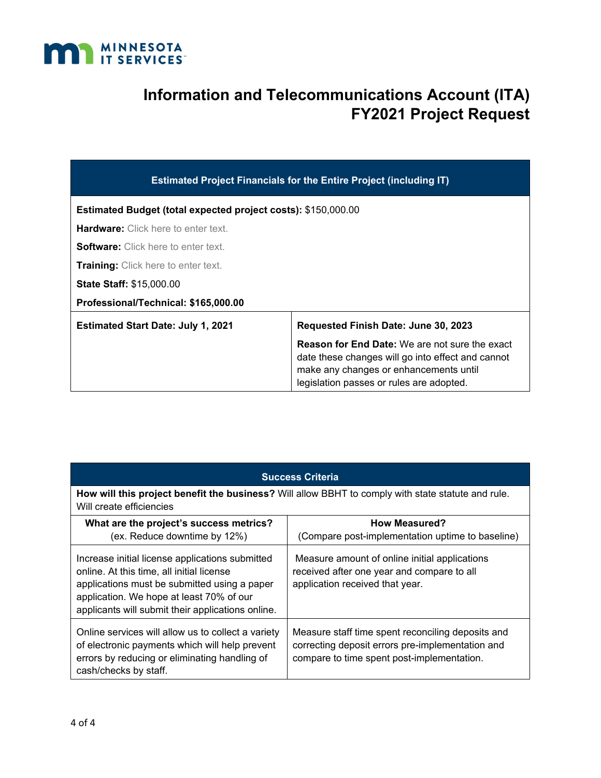

| <b>Estimated Project Financials for the Entire Project (including IT)</b> |                                                                                                                                                                                                  |  |
|---------------------------------------------------------------------------|--------------------------------------------------------------------------------------------------------------------------------------------------------------------------------------------------|--|
| <b>Estimated Budget (total expected project costs): \$150,000.00</b>      |                                                                                                                                                                                                  |  |
| <b>Hardware:</b> Click here to enter text.                                |                                                                                                                                                                                                  |  |
| <b>Software:</b> Click here to enter text.                                |                                                                                                                                                                                                  |  |
| <b>Training:</b> Click here to enter text.                                |                                                                                                                                                                                                  |  |
| <b>State Staff: \$15,000.00</b>                                           |                                                                                                                                                                                                  |  |
| Professional/Technical: \$165,000.00                                      |                                                                                                                                                                                                  |  |
| <b>Estimated Start Date: July 1, 2021</b>                                 | Requested Finish Date: June 30, 2023                                                                                                                                                             |  |
|                                                                           | <b>Reason for End Date:</b> We are not sure the exact<br>date these changes will go into effect and cannot<br>make any changes or enhancements until<br>legislation passes or rules are adopted. |  |

| <b>Success Criteria</b>                                                                                                                                                                                                                       |                                                                                                                                                     |  |
|-----------------------------------------------------------------------------------------------------------------------------------------------------------------------------------------------------------------------------------------------|-----------------------------------------------------------------------------------------------------------------------------------------------------|--|
| How will this project benefit the business? Will allow BBHT to comply with state statute and rule.<br>Will create efficiencies                                                                                                                |                                                                                                                                                     |  |
| What are the project's success metrics?<br>(ex. Reduce downtime by 12%)                                                                                                                                                                       | <b>How Measured?</b><br>(Compare post-implementation uptime to baseline)                                                                            |  |
| Increase initial license applications submitted<br>online. At this time, all initial license<br>applications must be submitted using a paper<br>application. We hope at least 70% of our<br>applicants will submit their applications online. | Measure amount of online initial applications<br>received after one year and compare to all<br>application received that year.                      |  |
| Online services will allow us to collect a variety<br>of electronic payments which will help prevent<br>errors by reducing or eliminating handling of<br>cash/checks by staff.                                                                | Measure staff time spent reconciling deposits and<br>correcting deposit errors pre-implementation and<br>compare to time spent post-implementation. |  |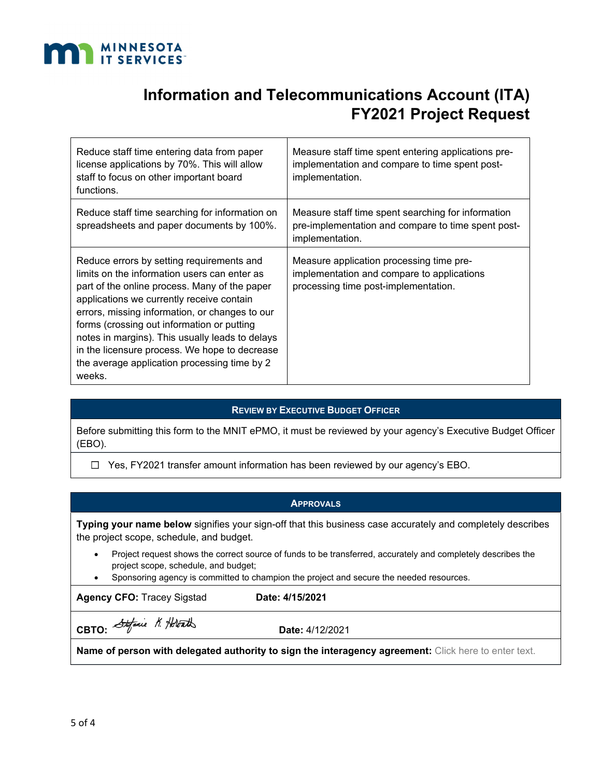

| Reduce staff time entering data from paper<br>license applications by 70%. This will allow<br>staff to focus on other important board<br>functions.                                                                                                                                                                                                                                                                                                   | Measure staff time spent entering applications pre-<br>implementation and compare to time spent post-<br>implementation.       |
|-------------------------------------------------------------------------------------------------------------------------------------------------------------------------------------------------------------------------------------------------------------------------------------------------------------------------------------------------------------------------------------------------------------------------------------------------------|--------------------------------------------------------------------------------------------------------------------------------|
| Reduce staff time searching for information on<br>spreadsheets and paper documents by 100%.                                                                                                                                                                                                                                                                                                                                                           | Measure staff time spent searching for information<br>pre-implementation and compare to time spent post-<br>implementation.    |
| Reduce errors by setting requirements and<br>limits on the information users can enter as<br>part of the online process. Many of the paper<br>applications we currently receive contain<br>errors, missing information, or changes to our<br>forms (crossing out information or putting<br>notes in margins). This usually leads to delays<br>in the licensure process. We hope to decrease<br>the average application processing time by 2<br>weeks. | Measure application processing time pre-<br>implementation and compare to applications<br>processing time post-implementation. |

### **REVIEW BY EXECUTIVE BUDGET OFFICER**

Before submitting this form to the MNIT ePMO, it must be reviewed by your agency's Executive Budget Officer (EBO).

☐Yes, FY2021 transfer amount information has been reviewed by our agency's EBO.

#### **APPROVALS**

**Typing your name below** signifies your sign-off that this business case accurately and completely describes the project scope, schedule, and budget.

- Project request shows the correct source of funds to be transferred, accurately and completely describes the project scope, schedule, and budget;
- Sponsoring agency is committed to champion the project and secure the needed resources.

Agency CFO: Tracey Sigstad **Date: 4/15/2021** 

**CBTO:** Stefanie N. Holorath

**Name of person with delegated authority to sign the interagency agreement:** Click here to enter text.